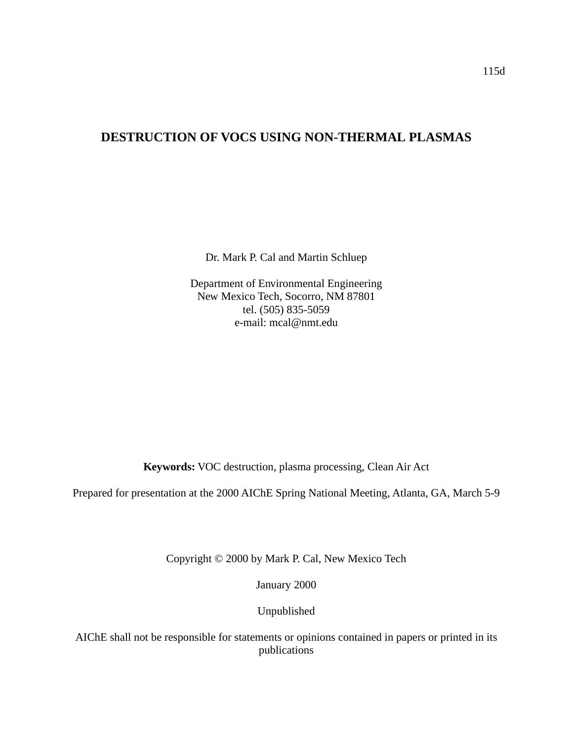# **DESTRUCTION OF VOCS USING NON-THERMAL PLASMAS**

Dr. Mark P. Cal and Martin Schluep

Department of Environmental Engineering New Mexico Tech, Socorro, NM 87801 tel. (505) 835-5059 e-mail: mcal@nmt.edu

**Keywords:** VOC destruction, plasma processing, Clean Air Act

Prepared for presentation at the 2000 AIChE Spring National Meeting, Atlanta, GA, March 5-9

Copyright © 2000 by Mark P. Cal, New Mexico Tech

January 2000

Unpublished

AIChE shall not be responsible for statements or opinions contained in papers or printed in its publications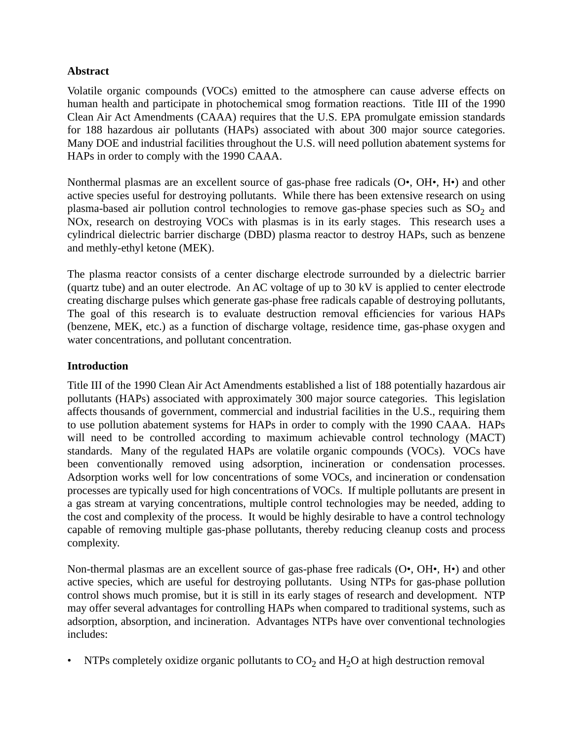# **Abstract**

Volatile organic compounds (VOCs) emitted to the atmosphere can cause adverse effects on human health and participate in photochemical smog formation reactions. Title III of the 1990 Clean Air Act Amendments (CAAA) requires that the U.S. EPA promulgate emission standards for 188 hazardous air pollutants (HAPs) associated with about 300 major source categories. Many DOE and industrial facilities throughout the U.S. will need pollution abatement systems for HAPs in order to comply with the 1990 CAAA.

Nonthermal plasmas are an excellent source of gas-phase free radicals (O•, OH•, H•) and other active species useful for destroying pollutants. While there has been extensive research on using plasma-based air pollution control technologies to remove gas-phase species such as  $SO_2$  and NOx, research on destroying VOCs with plasmas is in its early stages. This research uses a cylindrical dielectric barrier discharge (DBD) plasma reactor to destroy HAPs, such as benzene and methly-ethyl ketone (MEK).

The plasma reactor consists of a center discharge electrode surrounded by a dielectric barrier (quartz tube) and an outer electrode. An AC voltage of up to 30 kV is applied to center electrode creating discharge pulses which generate gas-phase free radicals capable of destroying pollutants, The goal of this research is to evaluate destruction removal efficiencies for various HAPs (benzene, MEK, etc.) as a function of discharge voltage, residence time, gas-phase oxygen and water concentrations, and pollutant concentration.

## **Introduction**

Title III of the 1990 Clean Air Act Amendments established a list of 188 potentially hazardous air pollutants (HAPs) associated with approximately 300 major source categories. This legislation affects thousands of government, commercial and industrial facilities in the U.S., requiring them to use pollution abatement systems for HAPs in order to comply with the 1990 CAAA. HAPs will need to be controlled according to maximum achievable control technology (MACT) standards. Many of the regulated HAPs are volatile organic compounds (VOCs). VOCs have been conventionally removed using adsorption, incineration or condensation processes. Adsorption works well for low concentrations of some VOCs, and incineration or condensation processes are typically used for high concentrations of VOCs. If multiple pollutants are present in a gas stream at varying concentrations, multiple control technologies may be needed, adding to the cost and complexity of the process. It would be highly desirable to have a control technology capable of removing multiple gas-phase pollutants, thereby reducing cleanup costs and process complexity.

Non-thermal plasmas are an excellent source of gas-phase free radicals (O•, OH•, H•) and other active species, which are useful for destroying pollutants. Using NTPs for gas-phase pollution control shows much promise, but it is still in its early stages of research and development. NTP may offer several advantages for controlling HAPs when compared to traditional systems, such as adsorption, absorption, and incineration. Advantages NTPs have over conventional technologies includes:

NTPs completely oxidize organic pollutants to  $CO<sub>2</sub>$  and  $H<sub>2</sub>O$  at high destruction removal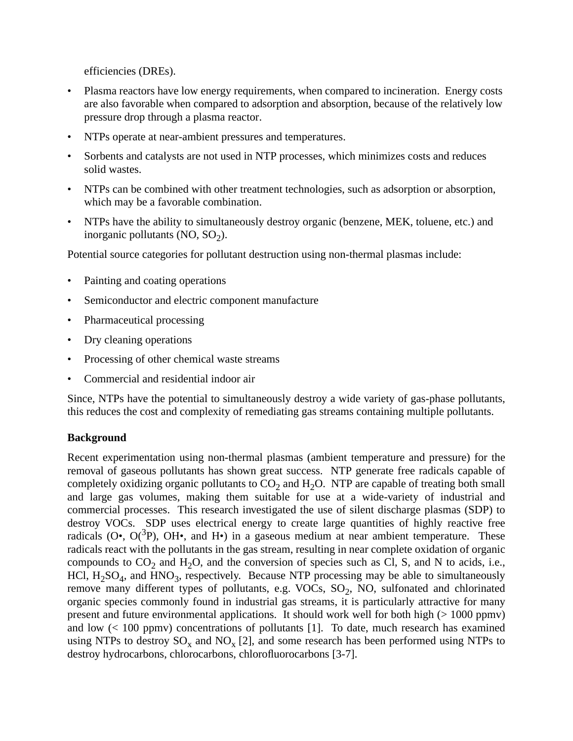efficiencies (DREs).

- Plasma reactors have low energy requirements, when compared to incineration. Energy costs are also favorable when compared to adsorption and absorption, because of the relatively low pressure drop through a plasma reactor.
- NTPs operate at near-ambient pressures and temperatures.
- Sorbents and catalysts are not used in NTP processes, which minimizes costs and reduces solid wastes.
- NTPs can be combined with other treatment technologies, such as adsorption or absorption, which may be a favorable combination.
- NTPs have the ability to simultaneously destroy organic (benzene, MEK, toluene, etc.) and inorganic pollutants  $(NO, SO<sub>2</sub>)$ .

Potential source categories for pollutant destruction using non-thermal plasmas include:

- Painting and coating operations
- Semiconductor and electric component manufacture
- Pharmaceutical processing
- Dry cleaning operations
- Processing of other chemical waste streams
- Commercial and residential indoor air

Since, NTPs have the potential to simultaneously destroy a wide variety of gas-phase pollutants, this reduces the cost and complexity of remediating gas streams containing multiple pollutants.

### **Background**

Recent experimentation using non-thermal plasmas (ambient temperature and pressure) for the removal of gaseous pollutants has shown great success. NTP generate free radicals capable of completely oxidizing organic pollutants to  $CO<sub>2</sub>$  and  $H<sub>2</sub>O$ . NTP are capable of treating both small and large gas volumes, making them suitable for use at a wide-variety of industrial and commercial processes. This research investigated the use of silent discharge plasmas (SDP) to destroy VOCs. SDP uses electrical energy to create large quantities of highly reactive free radicals ( $O\bullet$ ,  $O(^3P)$ ,  $OH\bullet$ , and  $H\bullet$ ) in a gaseous medium at near ambient temperature. These radicals react with the pollutants in the gas stream, resulting in near complete oxidation of organic compounds to  $CO_2$  and  $H_2O$ , and the conversion of species such as Cl, S, and N to acids, i.e., HCl,  $H_2SO_4$ , and HNO<sub>3</sub>, respectively. Because NTP processing may be able to simultaneously remove many different types of pollutants, e.g. VOCs,  $SO<sub>2</sub>$ , NO, sulfonated and chlorinated organic species commonly found in industrial gas streams, it is particularly attractive for many present and future environmental applications. It should work well for both high (> 1000 ppmv) and low (< 100 ppmv) concentrations of pollutants [1]. To date, much research has examined using NTPs to destroy  $SO_x$  and  $NO_x$  [2], and some research has been performed using NTPs to destroy hydrocarbons, chlorocarbons, chlorofluorocarbons [3-7].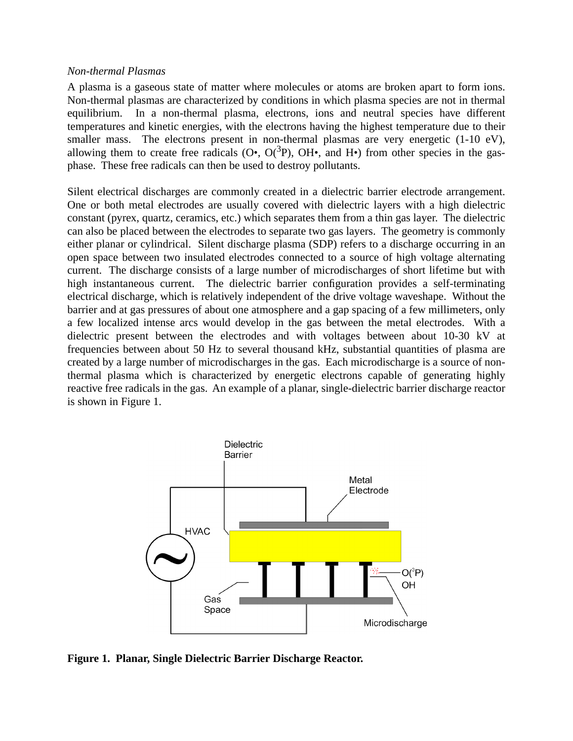#### *Non-thermal Plasmas*

A plasma is a gaseous state of matter where molecules or atoms are broken apart to form ions. Non-thermal plasmas are characterized by conditions in which plasma species are not in thermal equilibrium. In a non-thermal plasma, electrons, ions and neutral species have different temperatures and kinetic energies, with the electrons having the highest temperature due to their smaller mass. The electrons present in non-thermal plasmas are very energetic (1-10 eV), allowing them to create free radicals ( $O\bullet$ ,  $O(^3P)$ ,  $OH\bullet$ , and  $H\bullet$ ) from other species in the gasphase. These free radicals can then be used to destroy pollutants.

Silent electrical discharges are commonly created in a dielectric barrier electrode arrangement. One or both metal electrodes are usually covered with dielectric layers with a high dielectric constant (pyrex, quartz, ceramics, etc.) which separates them from a thin gas layer. The dielectric can also be placed between the electrodes to separate two gas layers. The geometry is commonly either planar or cylindrical. Silent discharge plasma (SDP) refers to a discharge occurring in an open space between two insulated electrodes connected to a source of high voltage alternating current. The discharge consists of a large number of microdischarges of short lifetime but with high instantaneous current. The dielectric barrier configuration provides a self-terminating electrical discharge, which is relatively independent of the drive voltage waveshape. Without the barrier and at gas pressures of about one atmosphere and a gap spacing of a few millimeters, only a few localized intense arcs would develop in the gas between the metal electrodes. With a dielectric present between the electrodes and with voltages between about 10-30 kV at frequencies between about 50 Hz to several thousand kHz, substantial quantities of plasma are created by a large number of microdischarges in the gas. Each microdischarge is a source of nonthermal plasma which is characterized by energetic electrons capable of generating highly reactive free radicals in the gas. An example of a planar, single-dielectric barrier discharge reactor is shown in Figure 1.



**Figure 1. Planar, Single Dielectric Barrier Discharge Reactor.**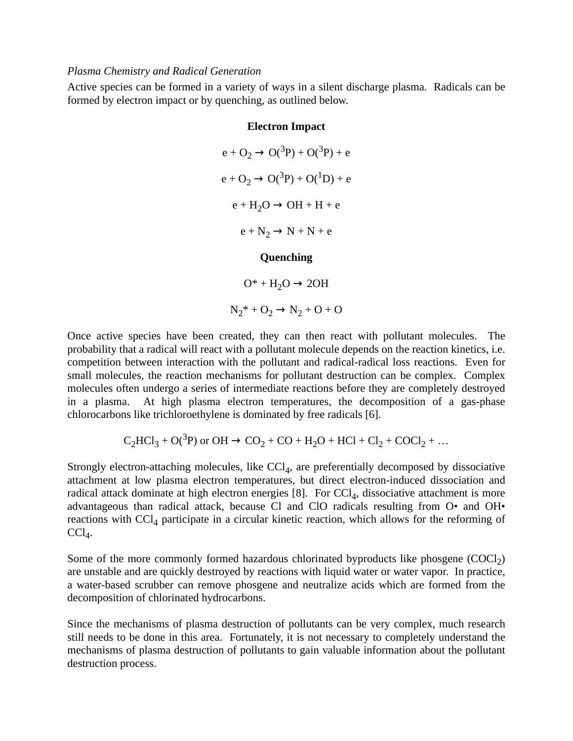#### *Plasma Chemistry and Radical Generation*

Active species can be formed in a variety of ways in a silent discharge plasma. Radicals can be formed by electron impact or by quenching, as outlined below.

#### **Electron Impact**

$$
e + O_2 \rightarrow O(^{3}P) + O(^{3}P) + e
$$
  
\n
$$
e + O_2 \rightarrow O(^{3}P) + O(^{1}D) + e
$$
  
\n
$$
e + H_2O \rightarrow OH + H + e
$$
  
\n
$$
e + N_2 \rightarrow N + N + e
$$
  
\n**Quenching**

 $O^* + H_2O \rightarrow 2OH$  $N_2^* + O_2 \rightarrow N_2 + O + O$ 

Once active species have been created, they can then react with pollutant molecules. The probability that a radical will react with a pollutant molecule depends on the reaction kinetics, i.e. competition between interaction with the pollutant and radical-radical loss reactions. Even for small molecules, the reaction mechanisms for pollutant destruction can be complex. Complex molecules often undergo a series of intermediate reactions before they are completely destroyed in a plasma. At high plasma electron temperatures, the decomposition of a gas-phase chlorocarbons like trichloroethylene is dominated by free radicals [6].

$$
C_2HCl_3 + O(^3P) \text{ or } OH \rightarrow CO_2 + CO + H_2O + HCl + Cl_2 + COCl_2 + \dots
$$

Strongly electron-attaching molecules, like  $CCl<sub>4</sub>$ , are preferentially decomposed by dissociative attachment at low plasma electron temperatures, but direct electron-induced dissociation and radical attack dominate at high electron energies  $[8]$ . For  $\text{CCl}_4$ , dissociative attachment is more advantageous than radical attack, because Cl and ClO radicals resulting from O• and OH• reactions with  $\text{CCl}_4$  participate in a circular kinetic reaction, which allows for the reforming of  $CCl_4$ .

Some of the more commonly formed hazardous chlorinated byproducts like phosgene  $(COCl<sub>2</sub>)$ are unstable and are quickly destroyed by reactions with liquid water or water vapor. In practice, a water-based scrubber can remove phosgene and neutralize acids which are formed from the decomposition of chlorinated hydrocarbons.

Since the mechanisms of plasma destruction of pollutants can be very complex, much research still needs to be done in this area. Fortunately, it is not necessary to completely understand the mechanisms of plasma destruction of pollutants to gain valuable information about the pollutant destruction process.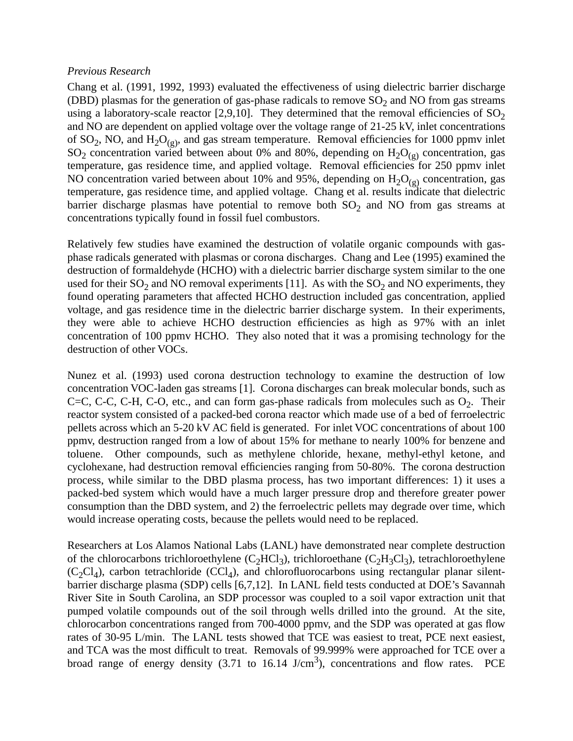### *Previous Research*

Chang et al. (1991, 1992, 1993) evaluated the effectiveness of using dielectric barrier discharge (DBD) plasmas for the generation of gas-phase radicals to remove  $SO_2$  and NO from gas streams using a laboratory-scale reactor [2,9,10]. They determined that the removal efficiencies of  $SO_2$ and NO are dependent on applied voltage over the voltage range of 21-25 kV, inlet concentrations of SO<sub>2</sub>, NO, and H<sub>2</sub>O<sub>(g)</sub>, and gas stream temperature. Removal efficiencies for 1000 ppmv inlet  $SO_2$  concentration varied between about 0% and 80%, depending on  $H_2O_{(g)}$  concentration, gas temperature, gas residence time, and applied voltage. Removal efficiencies for 250 ppmv inlet NO concentration varied between about 10% and 95%, depending on  $H_2O_{(g)}$  concentration, gas temperature, gas residence time, and applied voltage. Chang et al. results indicate that dielectric barrier discharge plasmas have potential to remove both  $SO<sub>2</sub>$  and NO from gas streams at concentrations typically found in fossil fuel combustors.

Relatively few studies have examined the destruction of volatile organic compounds with gasphase radicals generated with plasmas or corona discharges. Chang and Lee (1995) examined the destruction of formaldehyde (HCHO) with a dielectric barrier discharge system similar to the one used for their  $SO_2$  and NO removal experiments [11]. As with the  $SO_2$  and NO experiments, they found operating parameters that affected HCHO destruction included gas concentration, applied voltage, and gas residence time in the dielectric barrier discharge system. In their experiments, they were able to achieve HCHO destruction efficiencies as high as 97% with an inlet concentration of 100 ppmv HCHO. They also noted that it was a promising technology for the destruction of other VOCs.

Nunez et al. (1993) used corona destruction technology to examine the destruction of low concentration VOC-laden gas streams [1]. Corona discharges can break molecular bonds, such as C=C, C-C, C-H, C-O, etc., and can form gas-phase radicals from molecules such as  $O_2$ . Their reactor system consisted of a packed-bed corona reactor which made use of a bed of ferroelectric pellets across which an 5-20 kV AC field is generated. For inlet VOC concentrations of about 100 ppmv, destruction ranged from a low of about 15% for methane to nearly 100% for benzene and toluene. Other compounds, such as methylene chloride, hexane, methyl-ethyl ketone, and cyclohexane, had destruction removal efficiencies ranging from 50-80%. The corona destruction process, while similar to the DBD plasma process, has two important differences: 1) it uses a packed-bed system which would have a much larger pressure drop and therefore greater power consumption than the DBD system, and 2) the ferroelectric pellets may degrade over time, which would increase operating costs, because the pellets would need to be replaced.

Researchers at Los Alamos National Labs (LANL) have demonstrated near complete destruction of the chlorocarbons trichloroethylene  $(C_2HC_3)$ , trichloroethane  $(C_2H_3Cl_3)$ , tetrachloroethylene  $(C_2Cl_4)$ , carbon tetrachloride  $(CCl_4)$ , and chlorofluorocarbons using rectangular planar silentbarrier discharge plasma (SDP) cells [6,7,12]. In LANL field tests conducted at DOE's Savannah River Site in South Carolina, an SDP processor was coupled to a soil vapor extraction unit that pumped volatile compounds out of the soil through wells drilled into the ground. At the site, chlorocarbon concentrations ranged from 700-4000 ppmv, and the SDP was operated at gas flow rates of 30-95 L/min. The LANL tests showed that TCE was easiest to treat, PCE next easiest, and TCA was the most difficult to treat. Removals of 99.999% were approached for TCE over a broad range of energy density  $(3.71 \text{ to } 16.14 \text{ J/cm}^3)$ , concentrations and flow rates. PCE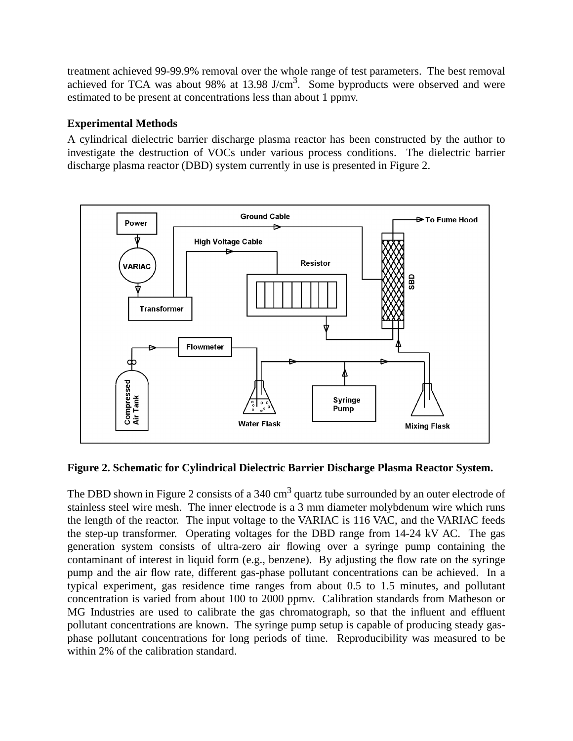treatment achieved 99-99.9% removal over the whole range of test parameters. The best removal achieved for TCA was about 98% at 13.98 J/cm<sup>3</sup>. Some byproducts were observed and were estimated to be present at concentrations less than about 1 ppmv.

# **Experimental Methods**

A cylindrical dielectric barrier discharge plasma reactor has been constructed by the author to investigate the destruction of VOCs under various process conditions. The dielectric barrier discharge plasma reactor (DBD) system currently in use is presented in Figure 2.



# **Figure 2. Schematic for Cylindrical Dielectric Barrier Discharge Plasma Reactor System.**

The DBD shown in Figure 2 consists of a 340 cm<sup>3</sup> quartz tube surrounded by an outer electrode of stainless steel wire mesh. The inner electrode is a 3 mm diameter molybdenum wire which runs the length of the reactor. The input voltage to the VARIAC is 116 VAC, and the VARIAC feeds the step-up transformer. Operating voltages for the DBD range from 14-24 kV AC. The gas generation system consists of ultra-zero air flowing over a syringe pump containing the contaminant of interest in liquid form (e.g., benzene). By adjusting the flow rate on the syringe pump and the air flow rate, different gas-phase pollutant concentrations can be achieved. In a typical experiment, gas residence time ranges from about 0.5 to 1.5 minutes, and pollutant concentration is varied from about 100 to 2000 ppmv. Calibration standards from Matheson or MG Industries are used to calibrate the gas chromatograph, so that the influent and effluent pollutant concentrations are known. The syringe pump setup is capable of producing steady gasphase pollutant concentrations for long periods of time. Reproducibility was measured to be within 2% of the calibration standard.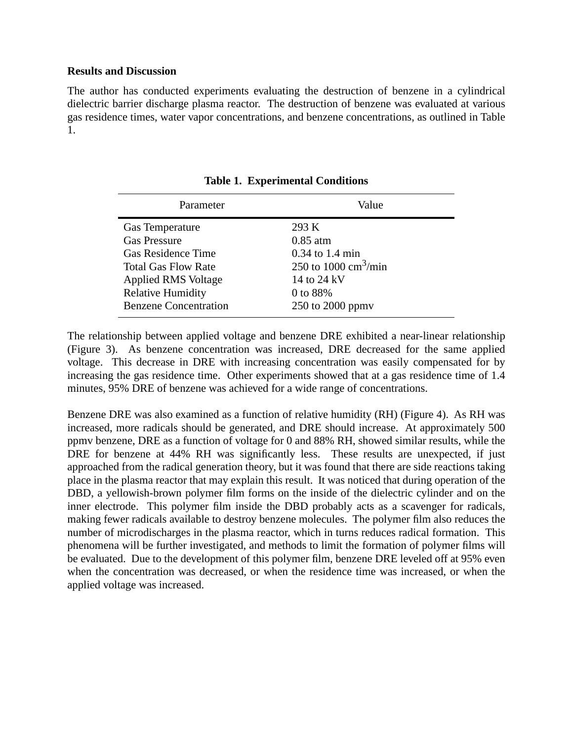### **Results and Discussion**

The author has conducted experiments evaluating the destruction of benzene in a cylindrical dielectric barrier discharge plasma reactor. The destruction of benzene was evaluated at various gas residence times, water vapor concentrations, and benzene concentrations, as outlined in Table 1.

| 293 K<br><b>Gas Temperature</b><br><b>Gas Pressure</b><br>$0.85$ atm<br>$0.34$ to 1.4 min<br><b>Gas Residence Time</b><br>250 to 1000 $\text{cm}^3/\text{min}$<br><b>Total Gas Flow Rate</b><br><b>Applied RMS Voltage</b><br>14 to 24 kV | Parameter                | Value    |
|-------------------------------------------------------------------------------------------------------------------------------------------------------------------------------------------------------------------------------------------|--------------------------|----------|
| <b>Benzene Concentration</b><br>250 to 2000 ppmy                                                                                                                                                                                          | <b>Relative Humidity</b> | 0 to 88% |

**Table 1. Experimental Conditions**

The relationship between applied voltage and benzene DRE exhibited a near-linear relationship (Figure 3). As benzene concentration was increased, DRE decreased for the same applied voltage. This decrease in DRE with increasing concentration was easily compensated for by increasing the gas residence time. Other experiments showed that at a gas residence time of 1.4 minutes, 95% DRE of benzene was achieved for a wide range of concentrations.

Benzene DRE was also examined as a function of relative humidity (RH) (Figure 4). As RH was increased, more radicals should be generated, and DRE should increase. At approximately 500 ppmv benzene, DRE as a function of voltage for 0 and 88% RH, showed similar results, while the DRE for benzene at 44% RH was significantly less. These results are unexpected, if just approached from the radical generation theory, but it was found that there are side reactions taking place in the plasma reactor that may explain this result. It was noticed that during operation of the DBD, a yellowish-brown polymer film forms on the inside of the dielectric cylinder and on the inner electrode. This polymer film inside the DBD probably acts as a scavenger for radicals, making fewer radicals available to destroy benzene molecules. The polymer film also reduces the number of microdischarges in the plasma reactor, which in turns reduces radical formation. This phenomena will be further investigated, and methods to limit the formation of polymer films will be evaluated. Due to the development of this polymer film, benzene DRE leveled off at 95% even when the concentration was decreased, or when the residence time was increased, or when the applied voltage was increased.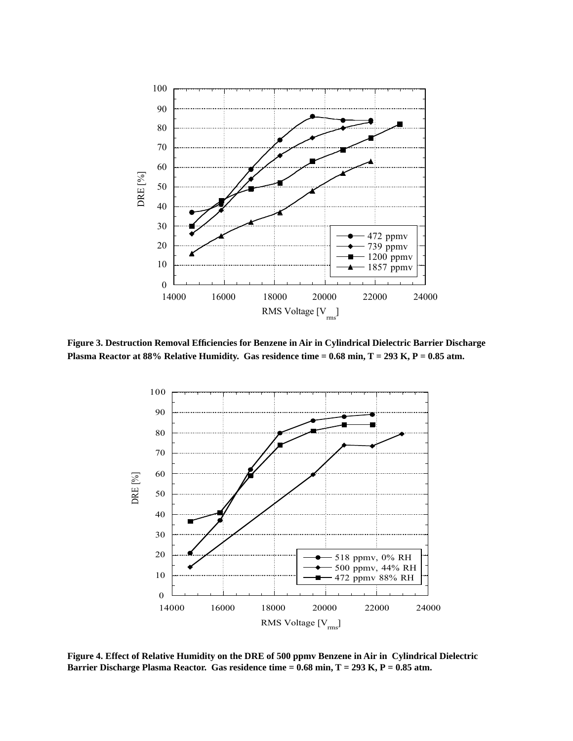

**Figure 3. Destruction Removal Efficiencies for Benzene in Air in Cylindrical Dielectric Barrier Discharge Plasma Reactor at 88% Relative Humidity. Gas residence time = 0.68 min, T = 293 K, P = 0.85 atm.**



**Figure 4. Effect of Relative Humidity on the DRE of 500 ppmv Benzene in Air in Cylindrical Dielectric Barrier Discharge Plasma Reactor. Gas residence time = 0.68 min, T = 293 K, P = 0.85 atm.**